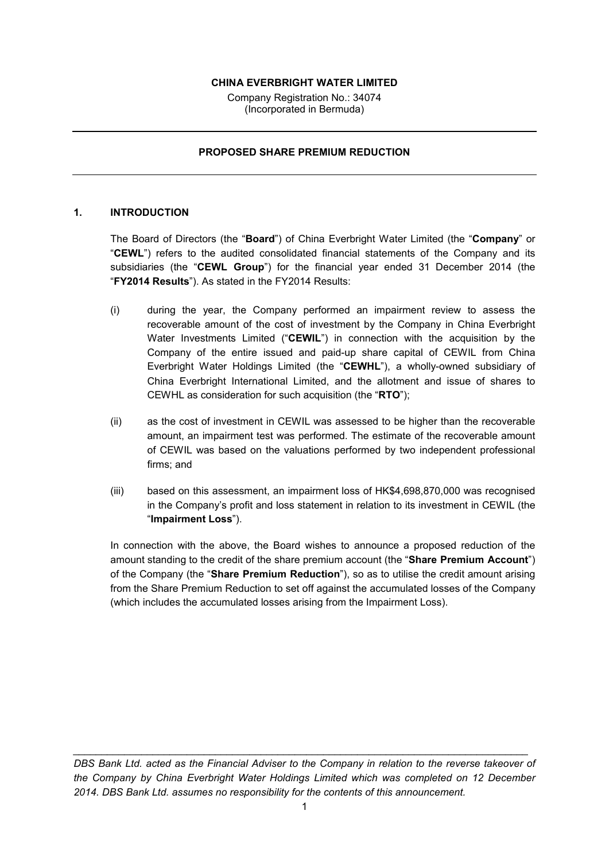### **CHINA EVERBRIGHT WATER LIMITED**

Company Registration No.: 34074 (Incorporated in Bermuda)

#### **PROPOSED SHARE PREMIUM REDUCTION**

### **1. INTRODUCTION**

The Board of Directors (the "**Board**") of China Everbright Water Limited (the "**Company**" or "**CEWL**") refers to the audited consolidated financial statements of the Company and its subsidiaries (the "**CEWL Group**") for the financial year ended 31 December 2014 (the "**FY2014 Results**"). As stated in the FY2014 Results:

- (i) during the year, the Company performed an impairment review to assess the recoverable amount of the cost of investment by the Company in China Everbright Water Investments Limited ("**CEWIL**") in connection with the acquisition by the Company of the entire issued and paid-up share capital of CEWIL from China Everbright Water Holdings Limited (the "**CEWHL**"), a wholly-owned subsidiary of China Everbright International Limited, and the allotment and issue of shares to CEWHL as consideration for such acquisition (the "**RTO**");
- (ii) as the cost of investment in CEWIL was assessed to be higher than the recoverable amount, an impairment test was performed. The estimate of the recoverable amount of CEWIL was based on the valuations performed by two independent professional firms; and
- (iii) based on this assessment, an impairment loss of HK\$4,698,870,000 was recognised in the Company's profit and loss statement in relation to its investment in CEWIL (the "**Impairment Loss**").

In connection with the above, the Board wishes to announce a proposed reduction of the amount standing to the credit of the share premium account (the "**Share Premium Account**") of the Company (the "**Share Premium Reduction**"), so as to utilise the credit amount arising from the Share Premium Reduction to set off against the accumulated losses of the Company (which includes the accumulated losses arising from the Impairment Loss).

*DBS Bank Ltd. acted as the Financial Adviser to the Company in relation to the reverse takeover of the Company by China Everbright Water Holdings Limited which was completed on 12 December 2014. DBS Bank Ltd. assumes no responsibility for the contents of this announcement.*

*\_\_\_\_\_\_\_\_\_\_\_\_\_\_\_\_\_\_\_\_\_\_\_\_\_\_\_\_\_\_\_\_\_\_\_\_\_\_\_\_\_\_\_\_\_\_\_\_\_\_\_\_\_\_\_\_\_\_\_\_\_\_\_\_\_\_\_\_\_\_\_\_\_\_\_\_\_\_\_\_*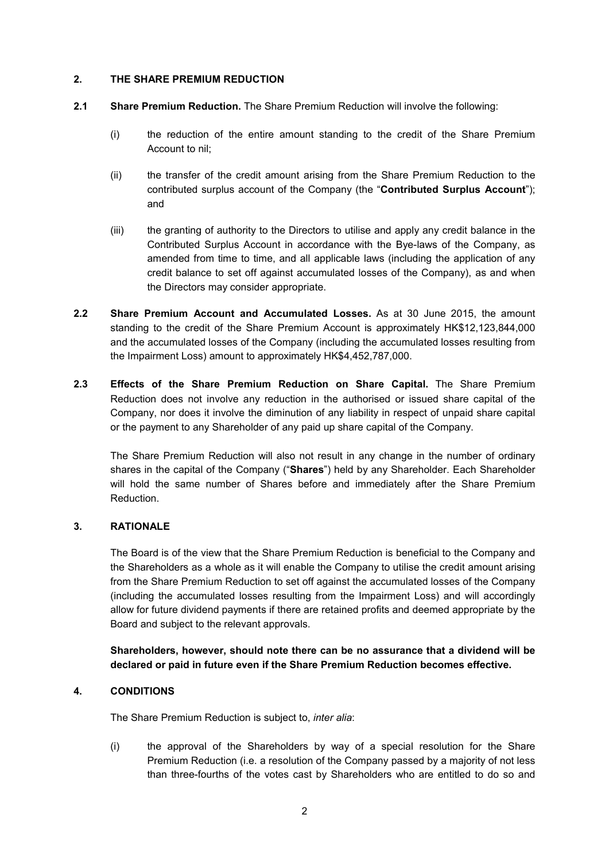### **2. THE SHARE PREMIUM REDUCTION**

- **2.1 Share Premium Reduction.** The Share Premium Reduction will involve the following:
	- (i) the reduction of the entire amount standing to the credit of the Share Premium Account to nil;
	- (ii) the transfer of the credit amount arising from the Share Premium Reduction to the contributed surplus account of the Company (the "**Contributed Surplus Account**"); and
	- (iii) the granting of authority to the Directors to utilise and apply any credit balance in the Contributed Surplus Account in accordance with the Bye-laws of the Company, as amended from time to time, and all applicable laws (including the application of any credit balance to set off against accumulated losses of the Company), as and when the Directors may consider appropriate.
- **2.2 Share Premium Account and Accumulated Losses.** As at 30 June 2015, the amount standing to the credit of the Share Premium Account is approximately HK\$12,123,844,000 and the accumulated losses of the Company (including the accumulated losses resulting from the Impairment Loss) amount to approximately HK\$4,452,787,000.
- **2.3 Effects of the Share Premium Reduction on Share Capital.** The Share Premium Reduction does not involve any reduction in the authorised or issued share capital of the Company, nor does it involve the diminution of any liability in respect of unpaid share capital or the payment to any Shareholder of any paid up share capital of the Company.

The Share Premium Reduction will also not result in any change in the number of ordinary shares in the capital of the Company ("**Shares**") held by any Shareholder. Each Shareholder will hold the same number of Shares before and immediately after the Share Premium Reduction.

# **3. RATIONALE**

The Board is of the view that the Share Premium Reduction is beneficial to the Company and the Shareholders as a whole as it will enable the Company to utilise the credit amount arising from the Share Premium Reduction to set off against the accumulated losses of the Company (including the accumulated losses resulting from the Impairment Loss) and will accordingly allow for future dividend payments if there are retained profits and deemed appropriate by the Board and subject to the relevant approvals.

**Shareholders, however, should note there can be no assurance that a dividend will be declared or paid in future even if the Share Premium Reduction becomes effective.**

# **4. CONDITIONS**

The Share Premium Reduction is subject to, *inter alia*:

(i) the approval of the Shareholders by way of a special resolution for the Share Premium Reduction (i.e. a resolution of the Company passed by a majority of not less than three-fourths of the votes cast by Shareholders who are entitled to do so and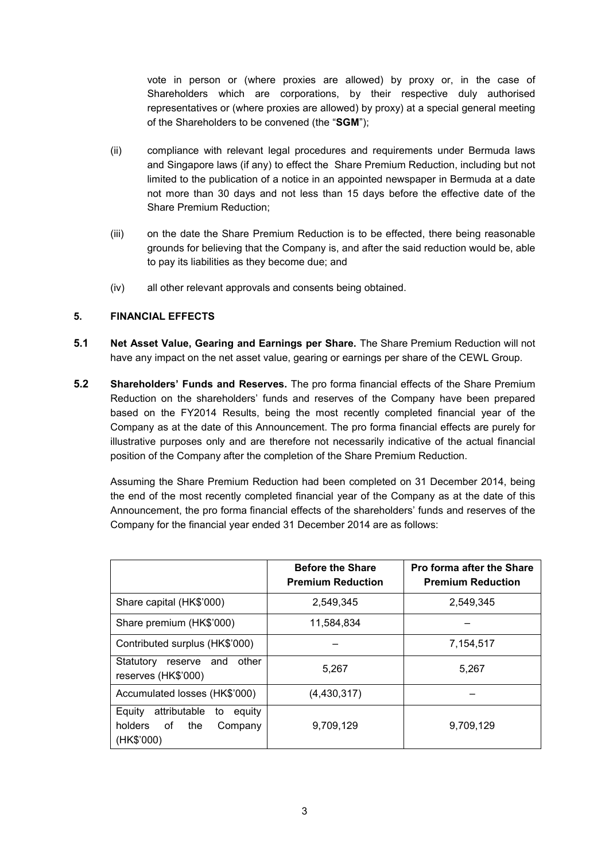vote in person or (where proxies are allowed) by proxy or, in the case of Shareholders which are corporations, by their respective duly authorised representatives or (where proxies are allowed) by proxy) at a special general meeting of the Shareholders to be convened (the "**SGM**");

- (ii) compliance with relevant legal procedures and requirements under Bermuda laws and Singapore laws (if any) to effect the Share Premium Reduction, including but not limited to the publication of a notice in an appointed newspaper in Bermuda at a date not more than 30 days and not less than 15 days before the effective date of the Share Premium Reduction;
- (iii) on the date the Share Premium Reduction is to be effected, there being reasonable grounds for believing that the Company is, and after the said reduction would be, able to pay its liabilities as they become due; and
- (iv) all other relevant approvals and consents being obtained.

# **5. FINANCIAL EFFECTS**

- **5.1 Net Asset Value, Gearing and Earnings per Share.** The Share Premium Reduction will not have any impact on the net asset value, gearing or earnings per share of the CEWL Group.
- **5.2 Shareholders' Funds and Reserves.** The pro forma financial effects of the Share Premium Reduction on the shareholders' funds and reserves of the Company have been prepared based on the FY2014 Results, being the most recently completed financial year of the Company as at the date of this Announcement. The pro forma financial effects are purely for illustrative purposes only and are therefore not necessarily indicative of the actual financial position of the Company after the completion of the Share Premium Reduction.

Assuming the Share Premium Reduction had been completed on 31 December 2014, being the end of the most recently completed financial year of the Company as at the date of this Announcement, the pro forma financial effects of the shareholders' funds and reserves of the Company for the financial year ended 31 December 2014 are as follows:

|                                                                                         | <b>Before the Share</b><br><b>Premium Reduction</b> | Pro forma after the Share<br><b>Premium Reduction</b> |
|-----------------------------------------------------------------------------------------|-----------------------------------------------------|-------------------------------------------------------|
| Share capital (HK\$'000)                                                                | 2.549.345                                           | 2.549.345                                             |
| Share premium (HK\$'000)                                                                | 11,584,834                                          |                                                       |
| Contributed surplus (HK\$'000)                                                          |                                                     | 7,154,517                                             |
| Statutory<br>other<br>and<br>reserve<br>reserves (HK\$'000)                             | 5.267                                               | 5,267                                                 |
| Accumulated losses (HK\$'000)                                                           | (4,430,317)                                         |                                                       |
| attributable<br>Equity<br>equity<br>to<br>holders<br>the<br>of<br>Company<br>(HK\$'000) | 9,709,129                                           | 9,709,129                                             |